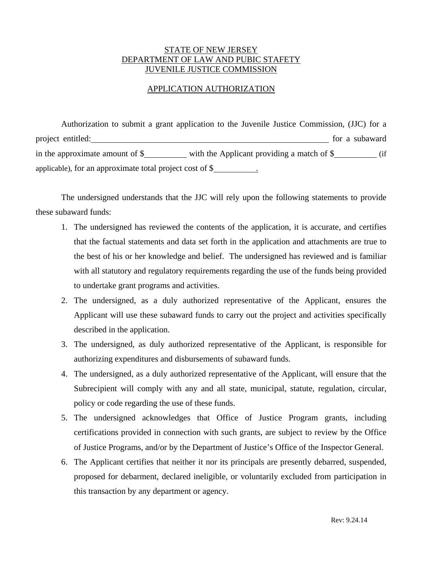## STATE OF NEW JERSEY DEPARTMENT OF LAW AND PUBIC STAFETY JUVENILE JUSTICE COMMISSION

## APPLICATION AUTHORIZATION

Authorization to submit a grant application to the Juvenile Justice Commission, (JJC) for a project entitled: https://www.formal.com/community/induction-state for a subaward in the approximate amount of  $\frac{1}{2}$  with the Applicant providing a match of  $\frac{1}{2}$  (if applicable), for an approximate total project cost of \$ .

The undersigned understands that the JJC will rely upon the following statements to provide these subaward funds:

- 1. The undersigned has reviewed the contents of the application, it is accurate, and certifies that the factual statements and data set forth in the application and attachments are true to the best of his or her knowledge and belief. The undersigned has reviewed and is familiar with all statutory and regulatory requirements regarding the use of the funds being provided to undertake grant programs and activities.
- 2. The undersigned, as a duly authorized representative of the Applicant, ensures the Applicant will use these subaward funds to carry out the project and activities specifically described in the application.
- 3. The undersigned, as duly authorized representative of the Applicant, is responsible for authorizing expenditures and disbursements of subaward funds.
- 4. The undersigned, as a duly authorized representative of the Applicant, will ensure that the Subrecipient will comply with any and all state, municipal, statute, regulation, circular, policy or code regarding the use of these funds.
- 5. The undersigned acknowledges that Office of Justice Program grants, including certifications provided in connection with such grants, are subject to review by the Office of Justice Programs, and/or by the Department of Justice's Office of the Inspector General.
- 6. The Applicant certifies that neither it nor its principals are presently debarred, suspended, proposed for debarment, declared ineligible, or voluntarily excluded from participation in this transaction by any department or agency.